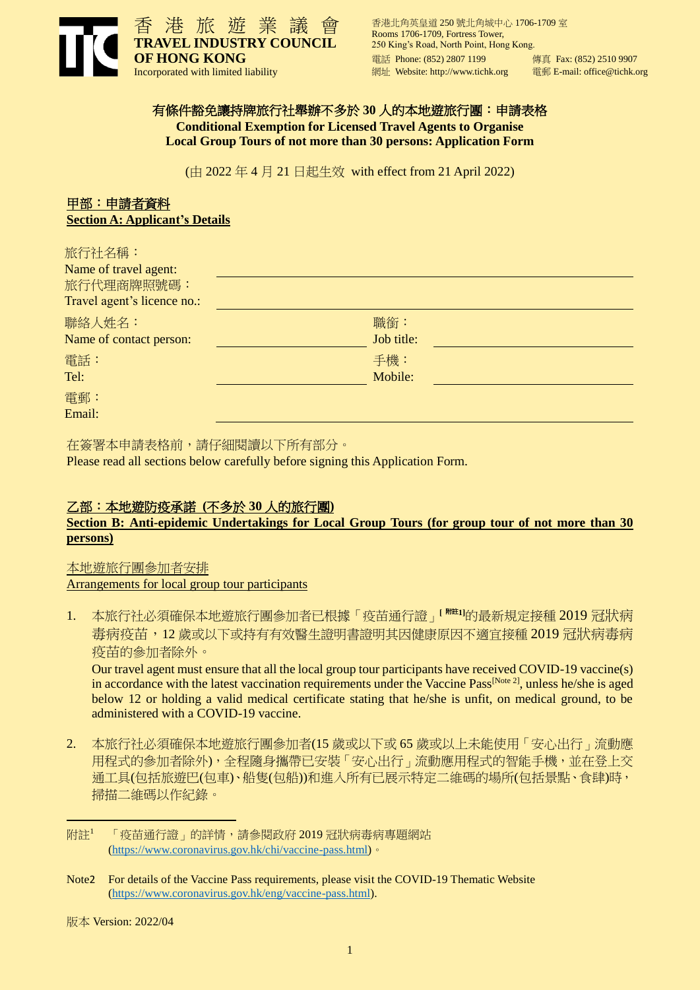

香港北角英皇道 250 號北角城中心 1706-1709 室 Rooms 1706-1709, Fortress Tower, 250 King's Road, North Point, Hong Kong. 電話 Phone: (852) 2807 1199 <br>
傳真 Fax: (852) 2510 9907 網址 Website: http://www.tichk.org 電郵 E-mail: office@tichk.org

#### 有條件豁免讓持牌旅行社舉辦不多於 **30** 人的本地遊旅行團:申請表格

**Conditional Exemption for Licensed Travel Agents to Organise Local Group Tours of not more than 30 persons: Application Form**

(由 2022 年 4 月 21 日起生效 with effect from 21 April 2022)

# 甲部:申請者資料 **Section A: Applicant's Details**

| 旅行社名稱:<br>Name of travel agent:<br>旅行代理商牌照號碼:<br>Travel agent's licence no.: |                   |  |
|------------------------------------------------------------------------------|-------------------|--|
| 聯絡人姓名:<br>Name of contact person:                                            | 職銜:<br>Job title: |  |
| 電話:<br>Tel:                                                                  | 手機:<br>Mobile:    |  |
| 電郵:<br>Email:                                                                |                   |  |

在簽署本申請表格前,請仔細閱讀以下所有部分。 Please read all sections below carefully before signing this Application Form.

# 乙部:本地遊防疫承諾 **(**不多於 **30** 人的旅行團**)**

## **Section B: Anti-epidemic Undertakings for Local Group Tours (for group tour of not more than 30 persons)**

## 本地遊旅行團參加者安排 Arrangements for local group tour participants

1. 本旅行社必須確保本地遊旅行團參加者已根據「疫苗通行證」**[** 附註**1]**的最新規定接種 2019 冠狀病 毒病疫苗, 12 歲或以下或持有有效醫生證明書證明其因健康原因不適宜接種 2019 冠狀病毒病 疫苗的參加者除外。

Our travel agent must ensure that all the local group tour participants have received COVID-19 vaccine(s) in accordance with the latest vaccination requirements under the Vaccine Pass<sup>[Note 2]</sup>, unless he/she is aged below 12 or holding a valid medical certificate stating that he/she is unfit, on medical ground, to be administered with a COVID-19 vaccine.

2. 本旅行社必須確保本地遊旅行團參加者(15 歲或以下或 65 歲或以上未能使用「安心出行」流動應 用程式的參加者除外),全程隨身攜帶已安裝「安心出行」流動應用程式的智能手機,並在登上交 通工具(包括旅遊巴(包車)、船隻(包船))和進入所有已展示特定二維碼的場所(包括景點、食肆)時, 掃描二維碼以作紀錄。

-

附註<sup>1</sup> 「疫苗通行證」的詳情,請參閱政府 2019 冠狀病毒病專題網站 [\(https://www.coronavirus.gov.hk/chi/vaccine-pass.html\)](https://www.coronavirus.gov.hk/chi/vaccine-pass.html)。

Note2 For details of the Vaccine Pass requirements, please visit the COVID-19 Thematic Website [\(https://www.coronavirus.gov.hk/eng/vaccine-pass.html\)](https://www.coronavirus.gov.hk/eng/vaccine-pass.html).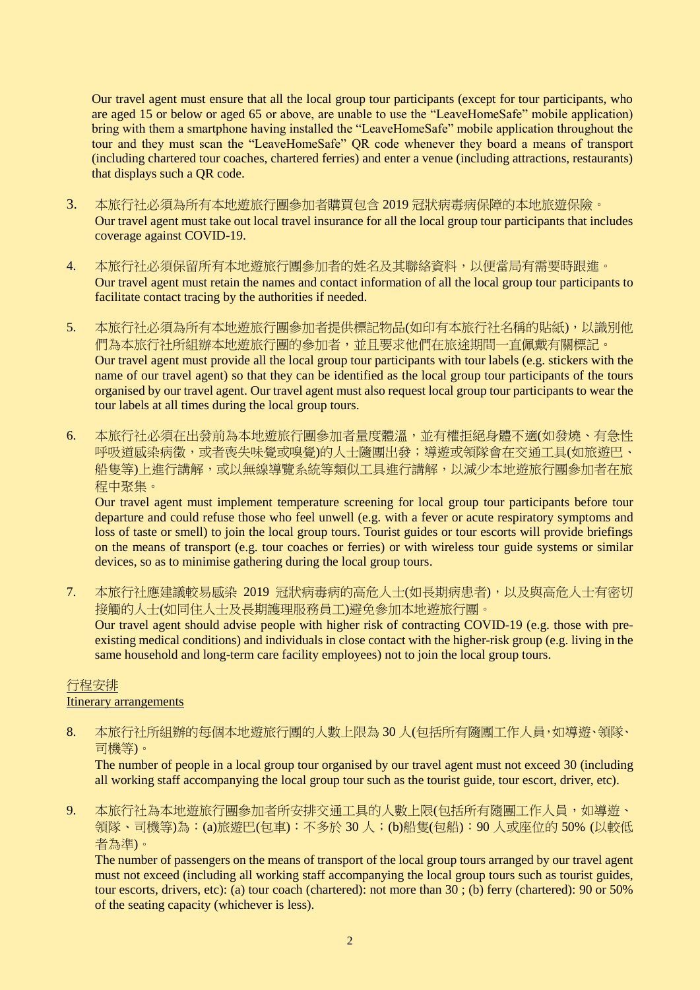Our travel agent must ensure that all the local group tour participants (except for tour participants, who are aged 15 or below or aged 65 or above, are unable to use the "LeaveHomeSafe" mobile application) bring with them a smartphone having installed the "LeaveHomeSafe" mobile application throughout the tour and they must scan the "LeaveHomeSafe" QR code whenever they board a means of transport (including chartered tour coaches, chartered ferries) and enter a venue (including attractions, restaurants) that displays such a QR code.

- 3. 本旅行社必須為所有本地遊旅行團參加者購買包含 2019 冠狀病毒病保障的本地旅遊保險。 Our travel agent must take out local travel insurance for all the local group tour participants that includes coverage against COVID-19.
- 4. 本旅行社必須保留所有本地遊旅行團參加者的姓名及其聯絡資料,以便當局有需要時跟進。 Our travel agent must retain the names and contact information of all the local group tour participants to facilitate contact tracing by the authorities if needed.
- 5. 本旅行社必須為所有本地遊旅行團參加者提供標記物品(如印有本旅行社名稱的貼紙),以識別他 們為本旅行社所組辦本地遊旅行團的參加者,並且要求他們在旅途期間一直佩戴有關標記。 Our travel agent must provide all the local group tour participants with tour labels (e.g. stickers with the name of our travel agent) so that they can be identified as the local group tour participants of the tours organised by our travel agent. Our travel agent must also request local group tour participants to wear the tour labels at all times during the local group tours.
- 6. 本旅行社必須在出發前為本地遊旅行團參加者量度體溫,並有權拒絕身體不適(如發燒、有急性 呼吸道感染病徵,或者喪失味覺或嗅覺)的人士隨團出發;導遊或領隊會在交通工具(如旅遊巴、 船隻等)上進行講解,或以無線導覽系統等類似工具進行講解,以減少本地遊旅行團參加者在旅 程中聚集。

Our travel agent must implement temperature screening for local group tour participants before tour departure and could refuse those who feel unwell (e.g. with a fever or acute respiratory symptoms and loss of taste or smell) to join the local group tours. Tourist guides or tour escorts will provide briefings on the means of transport (e.g. tour coaches or ferries) or with wireless tour guide systems or similar devices, so as to minimise gathering during the local group tours.

7. 本旅行社應建議較易感染 2019 冠狀病毒病的高危人士(如長期病患者),以及與高危人士有密切 接觸的人士(如同住人士及長期護理服務員工)避免參加本地遊旅行團。 Our travel agent should advise people with higher risk of contracting COVID-19 (e.g. those with preexisting medical conditions) and individuals in close contact with the higher-risk group (e.g. living in the same household and long-term care facility employees) not to join the local group tours.

## 行程安排

## Itinerary arrangements

8. 本旅行社所組辦的每個本地遊旅行團的人數上限為 30 人(包括所有隨團工作人員,如導遊、領隊、 司機等)。

The number of people in a local group tour organised by our travel agent must not exceed 30 (including all working staff accompanying the local group tour such as the tourist guide, tour escort, driver, etc).

9. 本旅行社為本地遊旅行團參加者所安排交通工具的人數上限(包括所有隨團工作人員,如導遊、 領隊、司機等)為:(a)旅遊巴(包車):不多於 30 人;(b)船隻(包船):90 人或座位的 50% (以較低 者為準)。

The number of passengers on the means of transport of the local group tours arranged by our travel agent must not exceed (including all working staff accompanying the local group tours such as tourist guides, tour escorts, drivers, etc): (a) tour coach (chartered): not more than 30 ; (b) ferry (chartered): 90 or 50% of the seating capacity (whichever is less).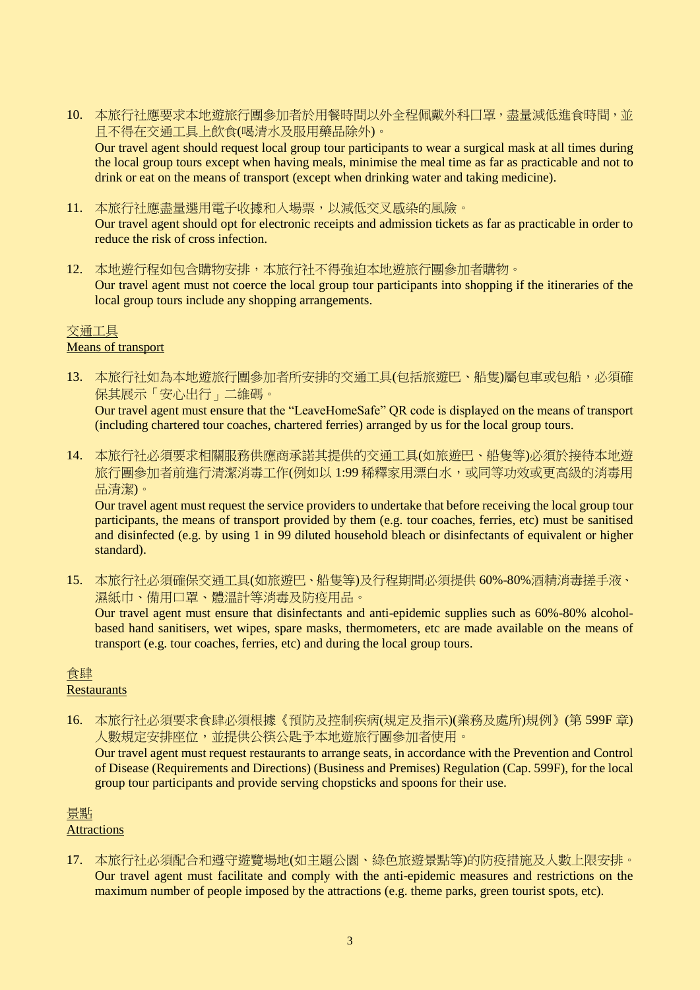10. 本旅行社應要求本地遊旅行團參加者於用餐時間以外全程佩戴外科口罩,盡量減低進食時間,並 且不得在交通工具上飲食(喝清水及服用藥品除外)。

Our travel agent should request local group tour participants to wear a surgical mask at all times during the local group tours except when having meals, minimise the meal time as far as practicable and not to drink or eat on the means of transport (except when drinking water and taking medicine).

11. 本旅行社應盡量選用電子收據和入場票,以減低交叉感染的風險。

Our travel agent should opt for electronic receipts and admission tickets as far as practicable in order to reduce the risk of cross infection.

12. 本地遊行程如包含購物安排,本旅行社不得強迫本地遊旅行團參加者購物。

Our travel agent must not coerce the local group tour participants into shopping if the itineraries of the local group tours include any shopping arrangements.

#### 交通工具 Means of transport

13. 本旅行社如為本地遊旅行團參加者所安排的交通工具(包括旅遊巴、船隻)屬包車或包船,必須確 保其展示「安心出行」二維碼。

Our travel agent must ensure that the "LeaveHomeSafe" QR code is displayed on the means of transport (including chartered tour coaches, chartered ferries) arranged by us for the local group tours.

14. 本旅行社必須要求相關服務供應商承諾其提供的交通工具(如旅遊巴、船隻等)必須於接待本地遊 旅行團參加者前進行清潔消毒工作(例如以 1:99 稀釋家用漂白水,或同等功效或更高級的消毒用 品清潔)。

Our travel agent must request the service providers to undertake that before receiving the local group tour participants, the means of transport provided by them (e.g. tour coaches, ferries, etc) must be sanitised and disinfected (e.g. by using  $1$  in 99 diluted household bleach or disinfectants of equivalent or higher standard).

15. 本旅行社必須確保交通工具(如旅遊巴、船隻等)及行程期間必須提供 60%-80%酒精消毒搓手液、 濕紙巾、備用口罩、體溫計等消毒及防疫用品。

Our travel agent must ensure that disinfectants and anti-epidemic supplies such as 60%-80% alcoholbased hand sanitisers, wet wipes, spare masks, thermometers, etc are made available on the means of transport (e.g. tour coaches, ferries, etc) and during the local group tours.

## 食肆

**Restaurants** 

16. 本旅行社必須要求食肆必須根據《預防及控制疾病(規定及指示)(業務及處所)規例》(第 599F 章) 人數規定安排座位,並提供公筷公匙予本地遊旅行團參加者使用。

Our travel agent must request restaurants to arrange seats, in accordance with the Prevention and Control of Disease (Requirements and Directions) (Business and Premises) Regulation (Cap. 599F), for the local group tour participants and provide serving chopsticks and spoons for their use.

# 景點

## **Attractions**

17. 本旅行社必須配合和遵守遊覽場地(如主題公園、綠色旅遊景點等)的防疫措施及人數上限安排。 Our travel agent must facilitate and comply with the anti-epidemic measures and restrictions on the maximum number of people imposed by the attractions (e.g. theme parks, green tourist spots, etc).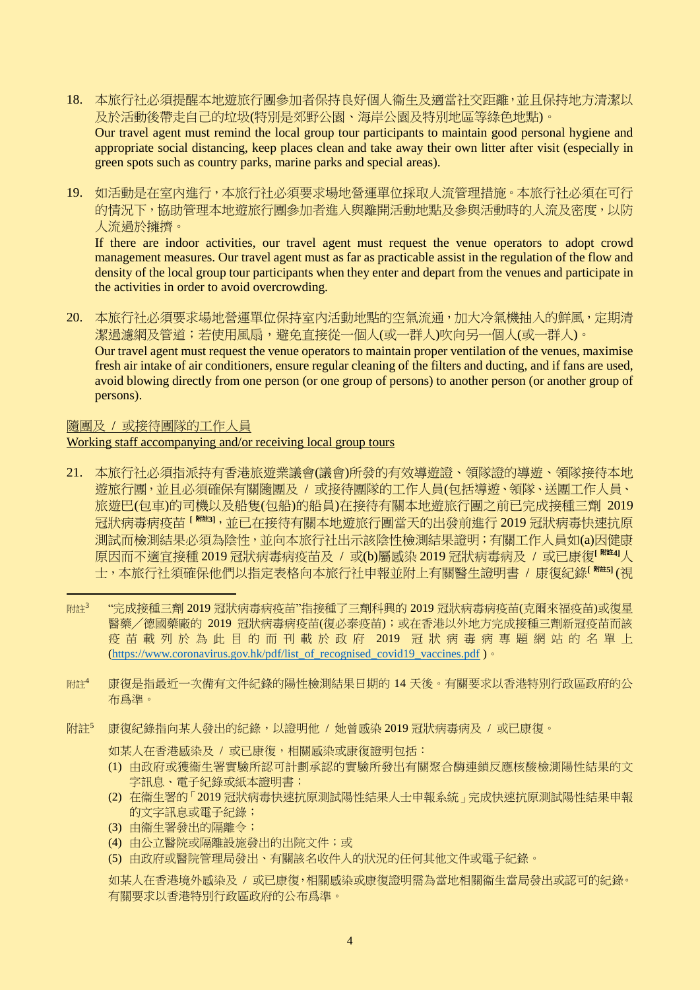18. 本旅行社必須提醒本地遊旅行團參加者保持良好個人衞生及適當社交距離,並且保持地方清潔以 及於活動後帶走自己的垃圾(特別是郊野公園、海岸公園及特別地區等綠色地點)。 Our travel agent must remind the local group tour participants to maintain good personal hygiene and

appropriate social distancing, keep places clean and take away their own litter after visit (especially in green spots such as country parks, marine parks and special areas).

19. 如活動是在室內進行,本旅行社必須要求場地營運單位採取人流管理措施。本旅行社必須在可行 的情況下,協助管理本地遊旅行團參加者進入與離開活動地點及參與活動時的人流及密度,以防 人流過於擁擠。

If there are indoor activities, our travel agent must request the venue operators to adopt crowd management measures. Our travel agent must as far as practicable assist in the regulation of the flow and density of the local group tour participants when they enter and depart from the venues and participate in the activities in order to avoid overcrowding.

20. 本旅行社必須要求場地營運單位保持室內活動地點的空氣流通,加大冷氣機抽入的鮮風,定期清 潔過濾網及管道;若使用風扇,避免直接從一個人(或一群人)吹向另一個人(或一群人)。 Our travel agent must request the venue operators to maintain proper ventilation of the venues, maximise fresh air intake of air conditioners, ensure regular cleaning of the filters and ducting, and if fans are used, avoid blowing directly from one person (or one group of persons) to another person (or another group of persons).

#### 隨團及 / 或接待團隊的工作人員

#### Working staff accompanying and/or receiving local group tours

- 21. 本旅行社必須指派持有香港旅遊業議會(議會)所發的有效導遊證、領隊證的導遊、領隊接待本地 遊旅行團,並且必須確保有關隨團及 / 或接待團隊的工作人員(包括導遊、領隊、送團工作人員、 旅遊巴(包車)的司機以及船隻(包船)的船員)在接待有關本地遊旅行團之前已完成接種三劑 2019 冠狀病毒病疫苗 **[** 附註**3]**,並已在接待有關本地遊旅行團當天的出發前進行 2019 冠狀病毒快速抗原 測試而檢測結果必須為陰性,並向本旅行社出示該陰性檢測結果證明;有關工作人員如(a)因健康 原因而不適宜接種 2019 冠狀病毒病疫苗及 / 或(b)屬感染 2019 冠狀病毒病及 / 或已康復**[** 附註**4]**人 士,本旅行社須確保他們以指定表格向本旅行社申報並附上有關醫生證明書 / 康復紀錄**[** 附註**5]** (視
- - $M$ 詳 $3$ "完成接種三劑 2019 冠狀病毒病疫苗"指接種了三劑科興的 2019 冠狀病毒病疫苗(克爾來福疫苗)或復星 醫藥╱德國藥廠的 2019 冠狀病毒病疫苗(復必泰疫苗);或在香港以外地方完成接種三劑新冠疫苗而該 疫苗載列於為此目的而刊載於政府 2019 冠狀病毒病專題網站的名單上 (https://www.coronavirus.gov.hk/pdf/list of recognised covid19 vaccines.pdf )  $\cdot$
- 附註<sup>4</sup> 康復是指最近一次備有文件紀錄的陽性檢測結果日期的 14 天後。有關要求以香港特別行政區政府的公 布爲準。
- 附註<sup>5</sup> 康復紀錄指向某人發出的紀錄,以證明他 / 她曾感染 2019 冠狀病毒病及 / 或已康復。

如某人在香港感染及 / 或已康復,相關感染或康復證明包括:

- (1) 由政府或獲衞生署實驗所認可計劃承認的實驗所發出有關聚合酶連鎖反應核酸檢測陽性結果的文 字訊息、電子紀錄或紙本證明書;
- (2) 在衞生署的「2019 冠狀病毒快速抗原測試陽性結果人士申報系統」完成快速抗原測試陽性結果申報 的文字訊息或電子紀錄;
- (3) 由衞生署發出的隔離令;
- (4) 由公立醫院或隔離設施發出的出院文件;或
- (5) 由政府或醫院管理局發出、有關該名收件人的狀況的任何其他文件或電子紀錄。

如某人在香港境外感染及 / 或已康復,相關感染或康復證明需為當地相關衞生當局發出或認可的紀錄。 有關要求以香港特別行政區政府的公布爲準。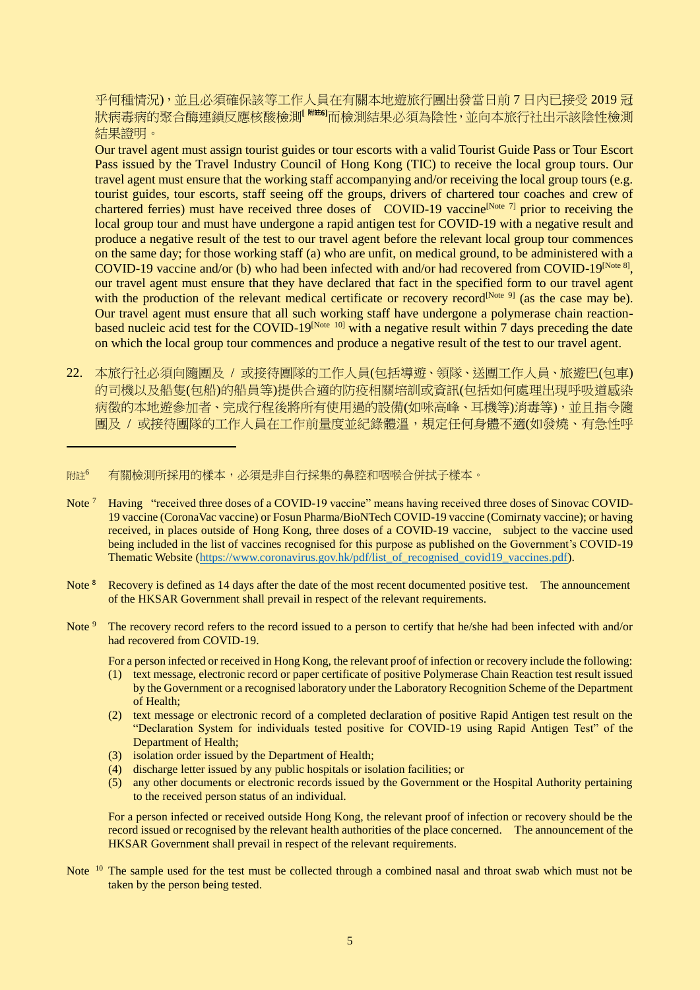乎何種情況),並且必須確保該等工作人員在有關本地遊旅行團出發當日前 7 日內已接受 2019 冠 狀病毒病的聚合酶連鎖反應核酸檢測**[** 附註**6]**而檢測結果必須為陰性,並向本旅行社出示該陰性檢測 結果證明。

Our travel agent must assign tourist guides or tour escorts with a valid Tourist Guide Pass or Tour Escort Pass issued by the Travel Industry Council of Hong Kong (TIC) to receive the local group tours. Our travel agent must ensure that the working staff accompanying and/or receiving the local group tours (e.g. tourist guides, tour escorts, staff seeing off the groups, drivers of chartered tour coaches and crew of chartered ferries) must have received three doses of COVID-19 vaccine<sup>[Note 7]</sup> prior to receiving the local group tour and must have undergone a rapid antigen test for COVID-19 with a negative result and produce a negative result of the test to our travel agent before the relevant local group tour commences on the same day; for those working staff (a) who are unfit, on medical ground, to be administered with a COVID-19 vaccine and/or (b) who had been infected with and/or had recovered from COVID-19<sup>[Note 8]</sup>, our travel agent must ensure that they have declared that fact in the specified form to our travel agent with the production of the relevant medical certificate or recovery record<sup>[Note 9]</sup> (as the case may be). Our travel agent must ensure that all such working staff have undergone a polymerase chain reactionbased nucleic acid test for the COVID-19<sup>[Note 10]</sup> with a negative result within 7 days preceding the date on which the local group tour commences and produce a negative result of the test to our travel agent.

22. 本旅行社必須向隨團及 / 或接待團隊的工作人員(包括導遊、領隊、送團工作人員、旅遊巴(包車) 的司機以及船隻(包船)的船員等)提供合適的防疫相關培訓或資訊(包括如何處理出現呼吸道感染 病徵的本地遊參加者、完成行程後將所有使用過的設備(如咪高峰、耳機等)消毒等),並且指令隨 團及 / 或接待團隊的工作人員在工作前量度並紀錄體溫,規定任何身體不適(如發燒、有急性呼

#### 附註6 有關檢測所採用的樣本,必須是非自行採集的鼻腔和咽喉合併拭子樣本。

-

- Note<sup>7</sup> Having "received three doses of a COVID-19 vaccine" means having received three doses of Sinovac COVID-19 vaccine (CoronaVac vaccine) or Fosun Pharma/BioNTech COVID-19 vaccine (Comirnaty vaccine); or having received, in places outside of Hong Kong, three doses of a COVID-19 vaccine, subject to the vaccine used being included in the list of vaccines recognised for this purpose as published on the Government's COVID-19 Thematic Website [\(https://www.coronavirus.gov.hk/pdf/list\\_of\\_recognised\\_covid19\\_vaccines.pdf\)](https://www.coronavirus.gov.hk/pdf/list_of_recognised_covid19_vaccines.pdf).
- Note<sup>8</sup> Recovery is defined as 14 days after the date of the most recent documented positive test. The announcement of the HKSAR Government shall prevail in respect of the relevant requirements.
- Note<sup>9</sup> The recovery record refers to the record issued to a person to certify that he/she had been infected with and/or had recovered from COVID-19.
	- For a person infected or received in Hong Kong, the relevant proof of infection or recovery include the following:
	- (1) text message, electronic record or paper certificate of positive Polymerase Chain Reaction test result issued by the Government or a recognised laboratory under the Laboratory Recognition Scheme of the Department of Health;
	- (2) text message or electronic record of a completed declaration of positive Rapid Antigen test result on the "Declaration System for individuals tested positive for COVID-19 using Rapid Antigen Test" of the Department of Health;
	- (3) isolation order issued by the Department of Health;
	- (4) discharge letter issued by any public hospitals or isolation facilities; or
	- (5) any other documents or electronic records issued by the Government or the Hospital Authority pertaining to the received person status of an individual.

For a person infected or received outside Hong Kong, the relevant proof of infection or recovery should be the record issued or recognised by the relevant health authorities of the place concerned. The announcement of the HKSAR Government shall prevail in respect of the relevant requirements.

Note <sup>10</sup> The sample used for the test must be collected through a combined nasal and throat swab which must not be taken by the person being tested.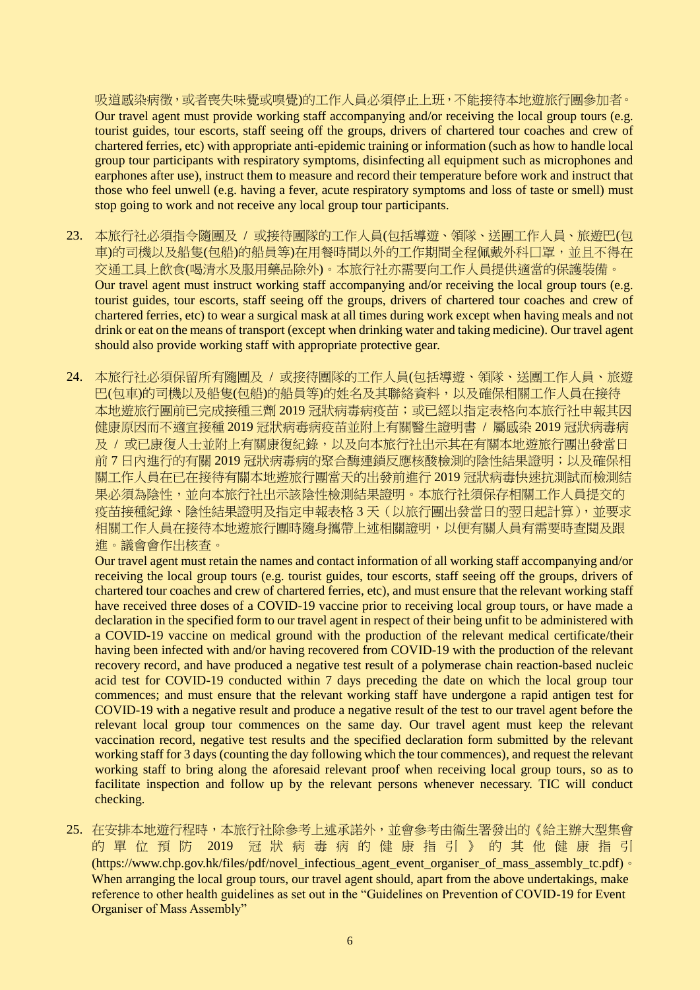吸道感染病徵,或者喪失味覺或嗅覺)的工作人員必須停止上班,不能接待本地遊旅行團參加者。 Our travel agent must provide working staff accompanying and/or receiving the local group tours (e.g. tourist guides, tour escorts, staff seeing off the groups, drivers of chartered tour coaches and crew of chartered ferries, etc) with appropriate anti-epidemic training or information (such as how to handle local group tour participants with respiratory symptoms, disinfecting all equipment such as microphones and earphones after use), instruct them to measure and record their temperature before work and instruct that those who feel unwell (e.g. having a fever, acute respiratory symptoms and loss of taste or smell) must stop going to work and not receive any local group tour participants.

- 23. 本旅行社必須指令隨團及 / 或接待團隊的工作人員(包括導遊、領隊、送團工作人員、旅遊巴(包 車)的司機以及船隻(包船)的船員等)在用餐時間以外的工作期間全程佩戴外科口罩,並且不得在 交通工具上飲食(喝清水及服用藥品除外)。本旅行社亦需要向工作人員提供適當的保護裝備。 Our travel agent must instruct working staff accompanying and/or receiving the local group tours (e.g. tourist guides, tour escorts, staff seeing off the groups, drivers of chartered tour coaches and crew of chartered ferries, etc) to wear a surgical mask at all times during work except when having meals and not drink or eat on the means of transport (except when drinking water and taking medicine). Our travel agent should also provide working staff with appropriate protective gear.
- 24. 本旅行社必須保留所有隨團及 / 或接待團隊的工作人員(包括導遊、領隊、送團工作人員、旅遊 巴(包車)的司機以及船隻(包船)的船員等)的姓名及其聯絡資料,以及確保相關工作人員在接待 本地遊旅行團前已完成接種三劑 2019 冠狀病毒病疫苗;或已經以指定表格向本旅行社申報其因 健康原因而不適宜接種 2019 冠狀病毒病疫苗並附上有關醫生證明書 / 屬感染 2019 冠狀病毒病 及 / 或已康復人士並附上有關康復紀錄,以及向本旅行社出示其在有關本地遊旅行團出發當日 前 7 日内進行的有關 2019 冠狀病毒病的聚合酶連鎖反應核酸檢測的陰性結果證明; 以及確保相 關工作人員在已在接待有關本地遊旅行團當天的出發前進行 2019 冠狀病毒快速抗測試而檢測結 果必須為陰性,並向本旅行社出示該陰性檢測結果證明。本旅行社須保存相關工作人員提交的 疫苗接種紀錄、陰性結果證明及指定申報表格 3 天(以旅行團出發當日的翌日起計算),並要求 相關工作人員在接待本地遊旅行團時隨身攜帶上述相關證明,以便有關人員有需要時查閱及跟 進。議會會作出核查。

Our travel agent must retain the names and contact information of all working staff accompanying and/or receiving the local group tours (e.g. tourist guides, tour escorts, staff seeing off the groups, drivers of chartered tour coaches and crew of chartered ferries, etc), and must ensure that the relevant working staff have received three doses of a COVID-19 vaccine prior to receiving local group tours, or have made a declaration in the specified form to our travel agent in respect of their being unfit to be administered with a COVID-19 vaccine on medical ground with the production of the relevant medical certificate/their having been infected with and/or having recovered from COVID-19 with the production of the relevant recovery record, and have produced a negative test result of a polymerase chain reaction-based nucleic acid test for COVID-19 conducted within 7 days preceding the date on which the local group tour commences; and must ensure that the relevant working staff have undergone a rapid antigen test for COVID-19 with a negative result and produce a negative result of the test to our travel agent before the relevant local group tour commences on the same day. Our travel agent must keep the relevant vaccination record, negative test results and the specified declaration form submitted by the relevant working staff for 3 days (counting the day following which the tour commences), and request the relevant working staff to bring along the aforesaid relevant proof when receiving local group tours, so as to facilitate inspection and follow up by the relevant persons whenever necessary. TIC will conduct checking.

25. 在安排本地遊行程時,本旅行社除參考上述承諾外,並會參考由衞生署發出的《給主辦大型集會 的單位預防 2019 冠狀病毒病的健康指引》的其他健康指引 (https://www.chp.gov.hk/files/pdf/novel\_infectious\_agent\_event\_organiser\_of\_mass\_assembly\_tc.pdf)。 When arranging the local group tours, our travel agent should, apart from the above undertakings, make reference to other health guidelines as set out in the "Guidelines on Prevention of COVID-19 for Event Organiser of Mass Assembly"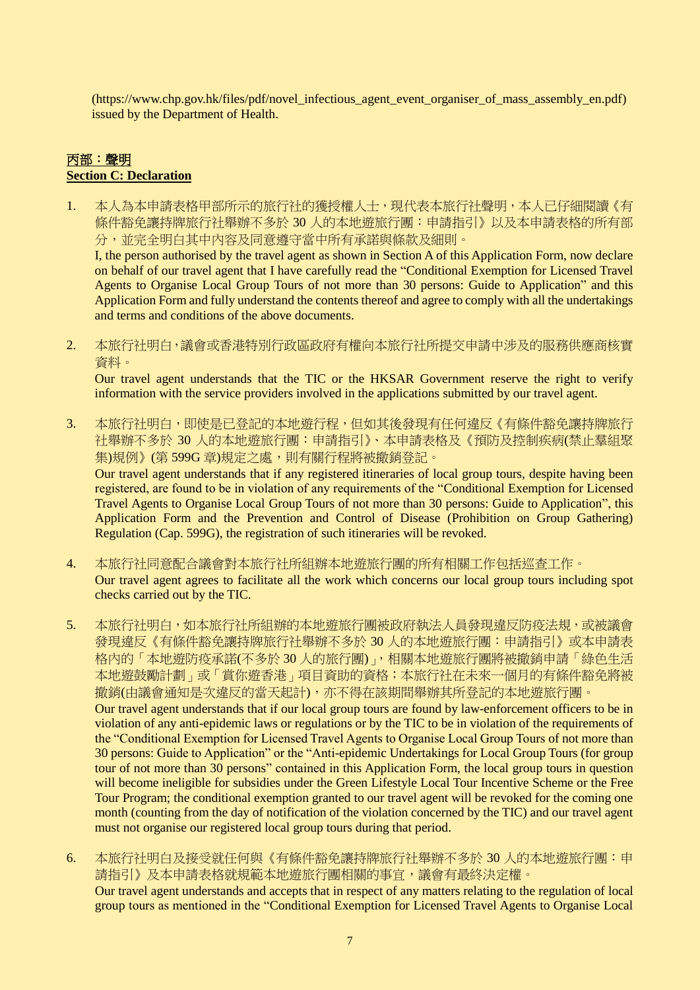(https://www.chp.gov.hk/files/pdf/novel\_infectious\_agent\_event\_organiser\_of\_mass\_assembly\_en.pdf) issued by the Department of Health.

# 丙部:聲明 **Section C: Declaration**

1. 本人為本申請表格甲部所示的旅行社的獲授權人士,現代表本旅行社聲明,本人已仔細閱讀《有 條件豁免讓持牌旅行社舉辦不多於 30 人的本地遊旅行團:申請指引》以及本申請表格的所有部 分,並完全明白其中內容及同意遵守當中所有承諾與條款及細則。

I, the person authorised by the travel agent as shown in Section A of this Application Form, now declare on behalf of our travel agent that I have carefully read the "Conditional Exemption for Licensed Travel Agents to Organise Local Group Tours of not more than 30 persons: Guide to Application" and this Application Form and fully understand the contents thereof and agree to comply with all the undertakings and terms and conditions of the above documents.

2. 本旅行社明白,議會或香港特別行政區政府有權向本旅行社所提交申請中涉及的服務供應商核實 資料。

Our travel agent understands that the TIC or the HKSAR Government reserve the right to verify information with the service providers involved in the applications submitted by our travel agent.

3. 本旅行社明白,即使是已登記的本地遊行程,但如其後發現有任何違反《有條件豁免讓持牌旅行 社舉辦不多於 30 人的本地遊旅行團:申請指引》、本申請表格及《預防及控制疾病(禁止羣組聚 集)規例》(第599G章)規定之處,則有關行程將被撤銷登記。 Our travel agent understands that if any registered itineraries of local group tours, despite having been

registered, are found to be in violation of any requirements of the "Conditional Exemption for Licensed Travel Agents to Organise Local Group Tours of not more than 30 persons: Guide to Application", this Application Form and the Prevention and Control of Disease (Prohibition on Group Gathering) Regulation (Cap. 599G), the registration of such itineraries will be revoked.

- 4. 本旅行社同意配合議會對本旅行社所組辦本地遊旅行團的所有相關工作包括巡查工作。 Our travel agent agrees to facilitate all the work which concerns our local group tours including spot checks carried out by the TIC.
- 5. 本旅行社明白,如本旅行社所組辦的本地遊旅行團被政府執法人員發現違反防疫法規,或被議會 發現違反《有條件豁免讓持牌旅行社舉辦不多於 30 人的本地遊旅行團:申請指引》或本申請表 格內的「本地遊防疫承諾(不多於 30 人的旅行團)」,相關本地遊旅行團將被撤銷申請「綠色生活 本地遊鼓勵計劃」或「賞你遊香港」項目資助的資格;本旅行社在未來一個月的有條件豁免將被 撤銷(由議會通知是次違反的當天起計),亦不得在該期間舉辦其所登記的本地遊旅行團。 Our travel agent understands that if our local group tours are found by law-enforcement officers to be in violation of any anti-epidemic laws or regulations or by the TIC to be in violation of the requirements of the "Conditional Exemption for Licensed Travel Agents to Organise Local Group Tours of not more than 30 persons: Guide to Application" or the "Anti-epidemic Undertakings for Local Group Tours (for group tour of not more than 30 persons" contained in this Application Form, the local group tours in question will become ineligible for subsidies under the Green Lifestyle Local Tour Incentive Scheme or the Free Tour Program; the conditional exemption granted to our travel agent will be revoked for the coming one month (counting from the day of notification of the violation concerned by the TIC) and our travel agent must not organise our registered local group tours during that period.
- 6. 本旅行社明白及接受就任何與《有條件豁免讓持牌旅行社舉辦不多於 30 人的本地遊旅行團:申 請指引》及本申請表格就規範本地遊旅行團相關的事宜,議會有最終決定權。 Our travel agent understands and accepts that in respect of any matters relating to the regulation of local group tours as mentioned in the "Conditional Exemption for Licensed Travel Agents to Organise Local